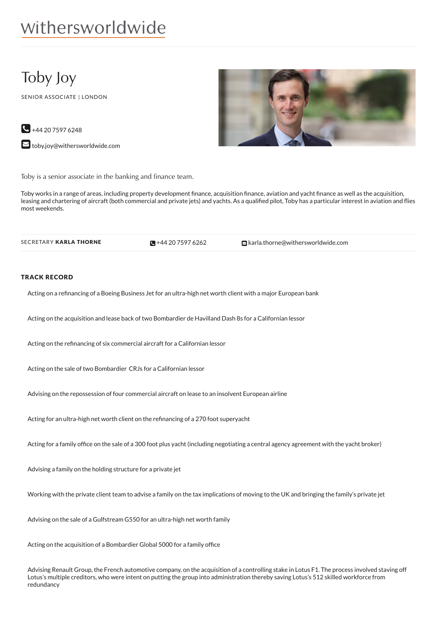# withersworldwide

## Toby Joy

SENIOR ASSOCIATE | LONDON

 $\bigodot$  +44 20 7597 6248  $\blacktriangleright$  [toby.joy@withersworldwide.com](mailto:toby.joy@withersworldwide.com?subject=Website Enquiry - Profile Page)



Toby is a senior associate in the banking and finance team.

Toby works in a range of areas, including property development finance, acquisition finance, aviation and yacht finance as well as the acquisition, leasing and chartering of aircraft (both commercial and private jets) and yachts. As a qualified pilot, Toby has a particular interest in aviation and flies most weekends.

 $-442075976262$ 

SECRETARY KARLA THORNE **+44 20 7597 [6262](tel:+44 20 7597 6262) Example 20 The Care of Allia.thorne@withersworldwide.com** 

#### TRACK RECORD

Acting on a refinancing of a Boeing Business Jet for an ultra-high net worth client with a major European bank

Acting on the acquisition and lease back of two Bombardier de Havilland Dash 8s for a Californian lessor

Acting on the refinancing of six commercial aircraft for a Californian lessor

Acting on the sale of two Bombardier CRJs for a Californian lessor

Advising on the repossession of four commercial aircraft on lease to an insolvent European airline

Acting for an ultra-high net worth client on the refinancing of a 270 foot superyacht

Acting for a family office on the sale of a 300 foot plus yacht (including negotiating a central agency agreement with the yacht broker)

Advising a family on the holding structure for a private jet

Working with the private client team to advise a family on the tax implications of moving to the UK and bringing the family's private jet

Advising on the sale of a Gulfstream G550 for an ultra-high net worth family

Acting on the acquisition of a Bombardier Global 5000 for a family office

Advising Renault Group, the French automotive company, on the acquisition of a controlling stake in Lotus F1. The process involved staving off Lotus's multiple creditors, who were intent on putting the group into administration thereby saving Lotus's 512 skilled workforce from redundancy